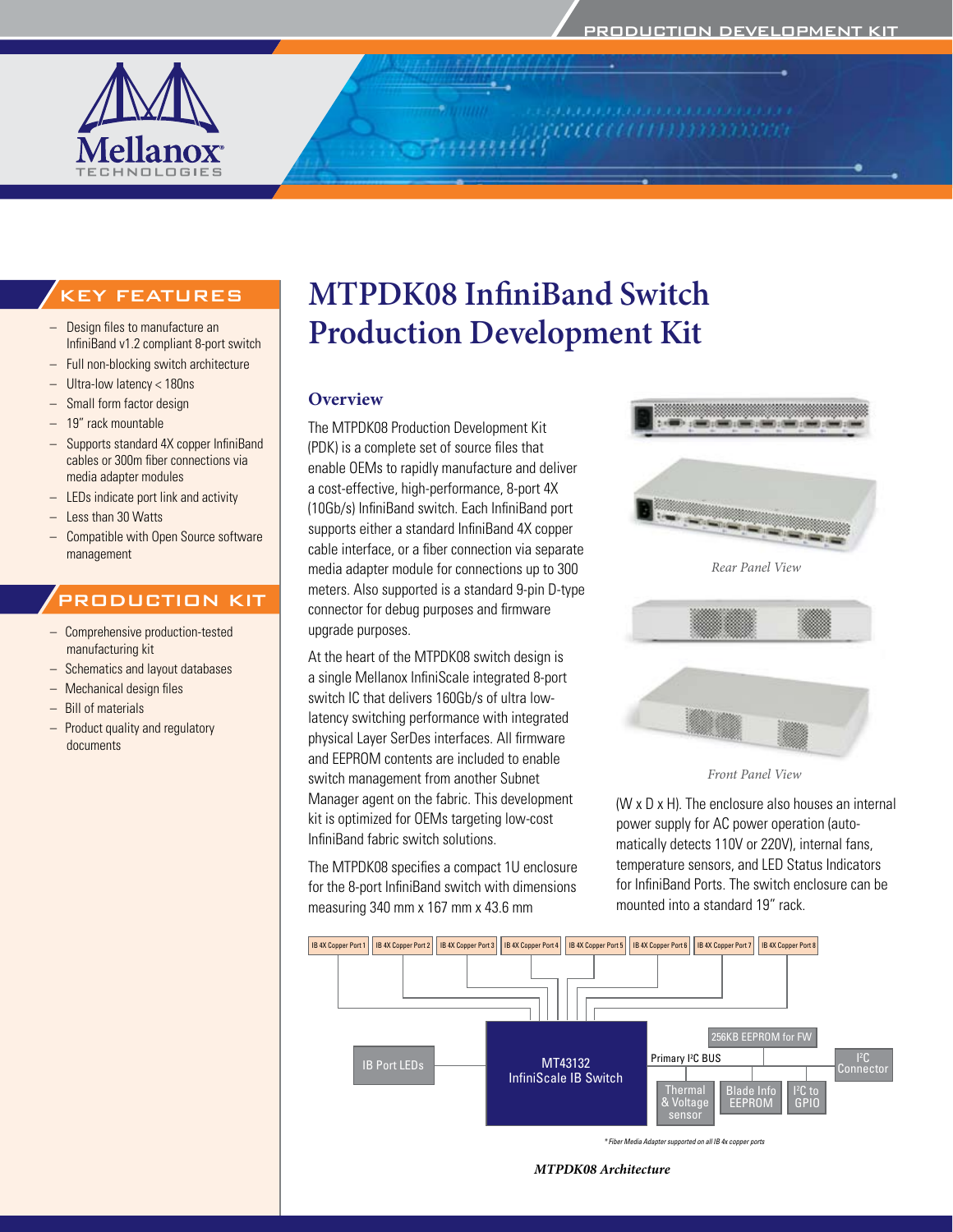*ruumm* 



# **MTPDK08 InfiniBand Switch Production Development Kit**

### **Overview**

The MTPDK08 Production Development Kit (PDK) is a complete set of source files that enable OEMs to rapidly manufacture and deliver a cost-effective, high-performance, 8-port 4X (10Gb/s) InfiniBand switch. Each InfiniBand port supports either a standard InfiniBand 4X copper cable interface, or a fiber connection via separate media adapter module for connections up to 300 meters. Also supported is a standard 9-pin D-type connector for debug purposes and firmware upgrade purposes.

At the heart of the MTPDK08 switch design is a single Mellanox InfiniScale integrated 8-port switch IC that delivers 160Gb/s of ultra lowlatency switching performance with integrated physical Layer SerDes interfaces. All firmware and EEPROM contents are included to enable switch management from another Subnet Manager agent on the fabric. This development kit is optimized for OEMs targeting low-cost InfiniBand fabric switch solutions.

The MTPDK08 specifies a compact 1U enclosure for the 8-port InfiniBand switch with dimensions measuring 340 mm x 167 mm x 43.6 mm

*Rear Panel View*



*Front Panel View*

(W x D x H). The enclosure also houses an internal power supply for AC power operation (automatically detects 110V or 220V), internal fans, temperature sensors, and LED Status Indicators for InfiniBand Ports. The switch enclosure can be mounted into a standard 19" rack.



*\* Fiber Media Adapter supported on all IB 4x copper ports*

*MTPDK08 Architecture*

## KEY FEATURES

- Design files to manufacture an InfiniBand v1.2 compliant 8-port switch
- Full non-blocking switch architecture
- Ultra-low latency  $<$  180ns
- Small form factor design
- 19" rack mountable
- Supports standard 4X copper InfiniBand cables or 300m fiber connections via media adapter modules
- LEDs indicate port link and activity
- Less than 30 Watts
- Compatible with Open Source software management

#### PRODUCTION KIT

- Comprehensive production-tested manufacturing kit
- Schematics and layout databases
- Mechanical design files
- **Bill of materials**
- Product quality and regulatory documents